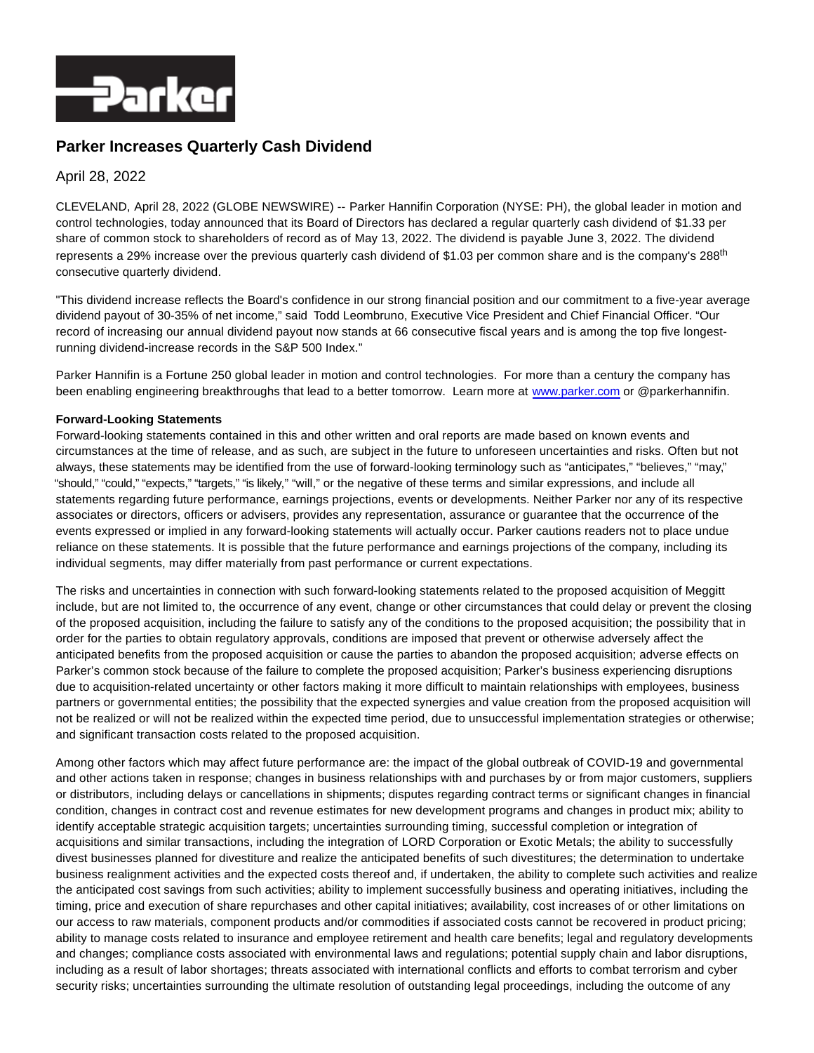

## **Parker Increases Quarterly Cash Dividend**

## April 28, 2022

CLEVELAND, April 28, 2022 (GLOBE NEWSWIRE) -- Parker Hannifin Corporation (NYSE: PH), the global leader in motion and control technologies, today announced that its Board of Directors has declared a regular quarterly cash dividend of \$1.33 per share of common stock to shareholders of record as of May 13, 2022. The dividend is payable June 3, 2022. The dividend represents a 29% increase over the previous quarterly cash dividend of \$1.03 per common share and is the company's 288<sup>th</sup> consecutive quarterly dividend.

"This dividend increase reflects the Board's confidence in our strong financial position and our commitment to a five-year average dividend payout of 30-35% of net income," said Todd Leombruno, Executive Vice President and Chief Financial Officer. "Our record of increasing our annual dividend payout now stands at 66 consecutive fiscal years and is among the top five longestrunning dividend-increase records in the S&P 500 Index."

Parker Hannifin is a Fortune 250 global leader in motion and control technologies. For more than a century the company has been enabling engineering breakthroughs that lead to a better tomorrow. Learn more at [www.parker.com o](http://www.parker.com/)r @parkerhannifin.

## **Forward-Looking Statements**

Forward-looking statements contained in this and other written and oral reports are made based on known events and circumstances at the time of release, and as such, are subject in the future to unforeseen uncertainties and risks. Often but not always, these statements may be identified from the use of forward-looking terminology such as "anticipates," "believes," "may," "should," "could," "expects," "targets," "is likely," "will," or the negative of these terms and similar expressions, and include all statements regarding future performance, earnings projections, events or developments. Neither Parker nor any of its respective associates or directors, officers or advisers, provides any representation, assurance or guarantee that the occurrence of the events expressed or implied in any forward-looking statements will actually occur. Parker cautions readers not to place undue reliance on these statements. It is possible that the future performance and earnings projections of the company, including its individual segments, may differ materially from past performance or current expectations.

The risks and uncertainties in connection with such forward-looking statements related to the proposed acquisition of Meggitt include, but are not limited to, the occurrence of any event, change or other circumstances that could delay or prevent the closing of the proposed acquisition, including the failure to satisfy any of the conditions to the proposed acquisition; the possibility that in order for the parties to obtain regulatory approvals, conditions are imposed that prevent or otherwise adversely affect the anticipated benefits from the proposed acquisition or cause the parties to abandon the proposed acquisition; adverse effects on Parker's common stock because of the failure to complete the proposed acquisition; Parker's business experiencing disruptions due to acquisition-related uncertainty or other factors making it more difficult to maintain relationships with employees, business partners or governmental entities; the possibility that the expected synergies and value creation from the proposed acquisition will not be realized or will not be realized within the expected time period, due to unsuccessful implementation strategies or otherwise; and significant transaction costs related to the proposed acquisition.

Among other factors which may affect future performance are: the impact of the global outbreak of COVID-19 and governmental and other actions taken in response; changes in business relationships with and purchases by or from major customers, suppliers or distributors, including delays or cancellations in shipments; disputes regarding contract terms or significant changes in financial condition, changes in contract cost and revenue estimates for new development programs and changes in product mix; ability to identify acceptable strategic acquisition targets; uncertainties surrounding timing, successful completion or integration of acquisitions and similar transactions, including the integration of LORD Corporation or Exotic Metals; the ability to successfully divest businesses planned for divestiture and realize the anticipated benefits of such divestitures; the determination to undertake business realignment activities and the expected costs thereof and, if undertaken, the ability to complete such activities and realize the anticipated cost savings from such activities; ability to implement successfully business and operating initiatives, including the timing, price and execution of share repurchases and other capital initiatives; availability, cost increases of or other limitations on our access to raw materials, component products and/or commodities if associated costs cannot be recovered in product pricing; ability to manage costs related to insurance and employee retirement and health care benefits; legal and regulatory developments and changes; compliance costs associated with environmental laws and regulations; potential supply chain and labor disruptions, including as a result of labor shortages; threats associated with international conflicts and efforts to combat terrorism and cyber security risks; uncertainties surrounding the ultimate resolution of outstanding legal proceedings, including the outcome of any